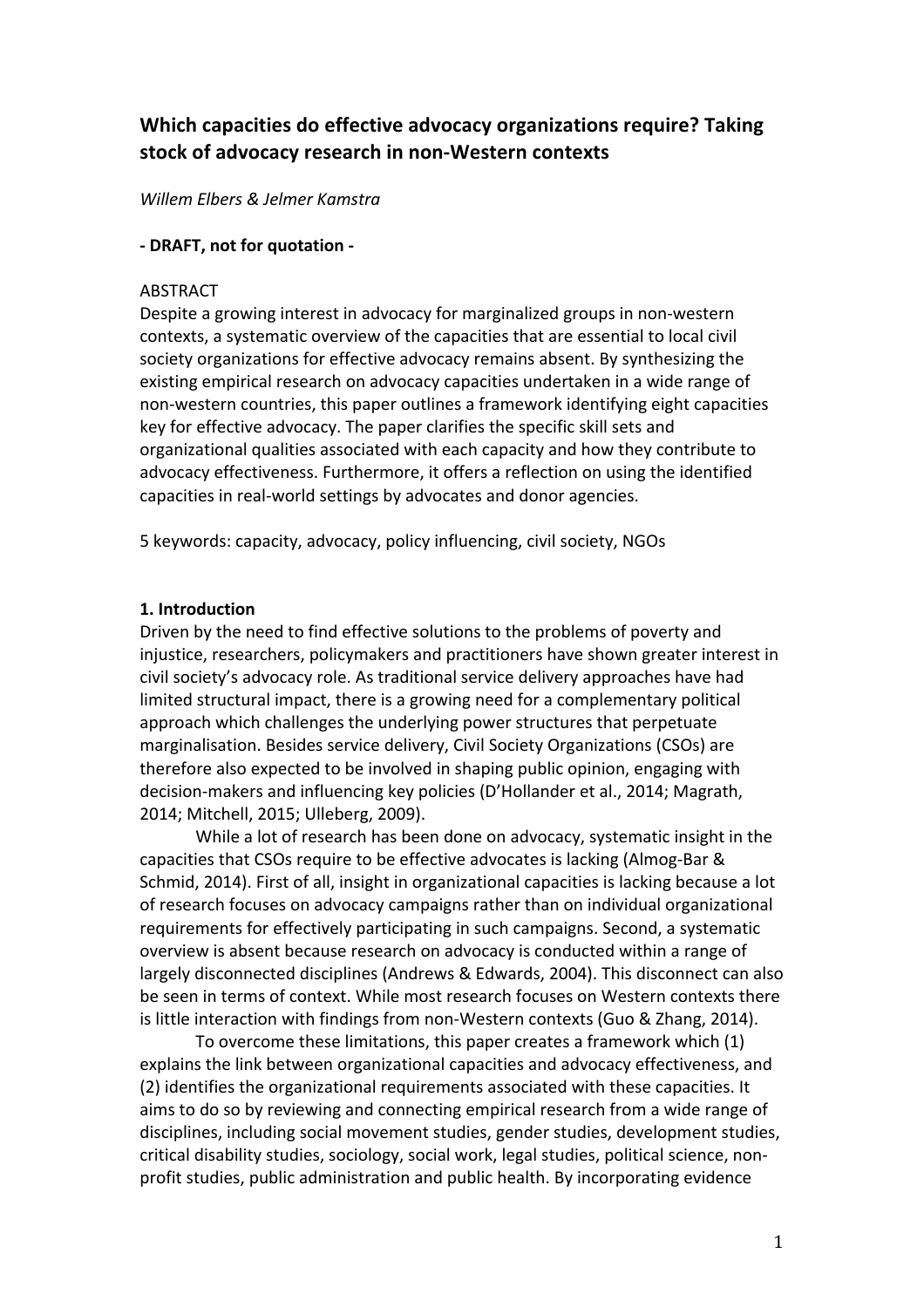# **Which capacities do effective advocacy organizations require? Taking** stock of advocacy research in non-Western contexts

*Willem Elbers & Jelmer Kamstra*

#### **- DRAFT, not for quotation -**

#### ABSTRACT

Despite a growing interest in advocacy for marginalized groups in non-western contexts, a systematic overview of the capacities that are essential to local civil society organizations for effective advocacy remains absent. By synthesizing the existing empirical research on advocacy capacities undertaken in a wide range of non-western countries, this paper outlines a framework identifying eight capacities key for effective advocacy. The paper clarifies the specific skill sets and organizational qualities associated with each capacity and how they contribute to advocacy effectiveness. Furthermore, it offers a reflection on using the identified capacities in real-world settings by advocates and donor agencies.

5 keywords: capacity, advocacy, policy influencing, civil society, NGOs

#### **1. Introduction**

Driven by the need to find effective solutions to the problems of poverty and injustice, researchers, policymakers and practitioners have shown greater interest in civil society's advocacy role. As traditional service delivery approaches have had limited structural impact, there is a growing need for a complementary political approach which challenges the underlying power structures that perpetuate marginalisation. Besides service delivery, Civil Society Organizations (CSOs) are therefore also expected to be involved in shaping public opinion, engaging with decision-makers and influencing key policies (D'Hollander et al., 2014; Magrath, 2014; Mitchell, 2015; Ulleberg, 2009).

While a lot of research has been done on advocacy, systematic insight in the capacities that CSOs require to be effective advocates is lacking (Almog-Bar & Schmid, 2014). First of all, insight in organizational capacities is lacking because a lot of research focuses on advocacy campaigns rather than on individual organizational requirements for effectively participating in such campaigns. Second, a systematic overview is absent because research on advocacy is conducted within a range of largely disconnected disciplines (Andrews & Edwards, 2004). This disconnect can also be seen in terms of context. While most research focuses on Western contexts there is little interaction with findings from non-Western contexts (Guo & Zhang, 2014).

To overcome these limitations, this paper creates a framework which (1) explains the link between organizational capacities and advocacy effectiveness, and (2) identifies the organizational requirements associated with these capacities. It aims to do so by reviewing and connecting empirical research from a wide range of disciplines, including social movement studies, gender studies, development studies, critical disability studies, sociology, social work, legal studies, political science, nonprofit studies, public administration and public health. By incorporating evidence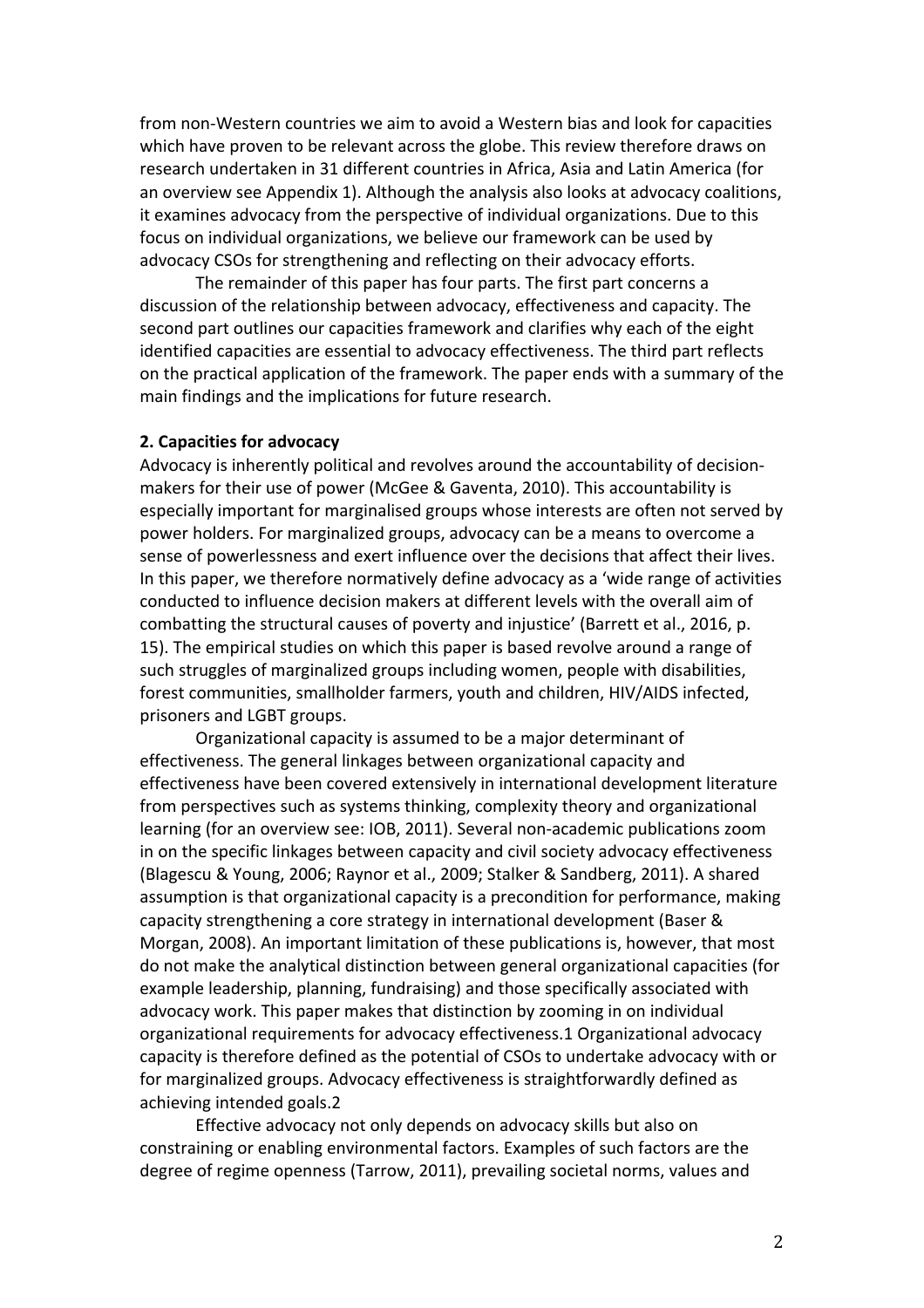from non-Western countries we aim to avoid a Western bias and look for capacities which have proven to be relevant across the globe. This review therefore draws on research undertaken in 31 different countries in Africa, Asia and Latin America (for an overview see Appendix 1). Although the analysis also looks at advocacy coalitions, it examines advocacy from the perspective of individual organizations. Due to this focus on individual organizations, we believe our framework can be used by advocacy CSOs for strengthening and reflecting on their advocacy efforts.

The remainder of this paper has four parts. The first part concerns a discussion of the relationship between advocacy, effectiveness and capacity. The second part outlines our capacities framework and clarifies why each of the eight identified capacities are essential to advocacy effectiveness. The third part reflects on the practical application of the framework. The paper ends with a summary of the main findings and the implications for future research.

#### **2. Capacities for advocacy**

Advocacy is inherently political and revolves around the accountability of decisionmakers for their use of power (McGee & Gaventa, 2010). This accountability is especially important for marginalised groups whose interests are often not served by power holders. For marginalized groups, advocacy can be a means to overcome a sense of powerlessness and exert influence over the decisions that affect their lives. In this paper, we therefore normatively define advocacy as a 'wide range of activities conducted to influence decision makers at different levels with the overall aim of combatting the structural causes of poverty and injustice' (Barrett et al., 2016, p. 15). The empirical studies on which this paper is based revolve around a range of such struggles of marginalized groups including women, people with disabilities, forest communities, smallholder farmers, youth and children, HIV/AIDS infected, prisoners and LGBT groups.

Organizational capacity is assumed to be a major determinant of effectiveness. The general linkages between organizational capacity and effectiveness have been covered extensively in international development literature from perspectives such as systems thinking, complexity theory and organizational learning (for an overview see: IOB, 2011). Several non-academic publications zoom in on the specific linkages between capacity and civil society advocacy effectiveness (Blagescu & Young, 2006; Raynor et al., 2009; Stalker & Sandberg, 2011). A shared assumption is that organizational capacity is a precondition for performance, making capacity strengthening a core strategy in international development (Baser & Morgan, 2008). An important limitation of these publications is, however, that most do not make the analytical distinction between general organizational capacities (for example leadership, planning, fundraising) and those specifically associated with advocacy work. This paper makes that distinction by zooming in on individual organizational requirements for advocacy effectiveness.1 Organizational advocacy capacity is therefore defined as the potential of CSOs to undertake advocacy with or for marginalized groups. Advocacy effectiveness is straightforwardly defined as achieving intended goals.2

Effective advocacy not only depends on advocacy skills but also on constraining or enabling environmental factors. Examples of such factors are the degree of regime openness (Tarrow, 2011), prevailing societal norms, values and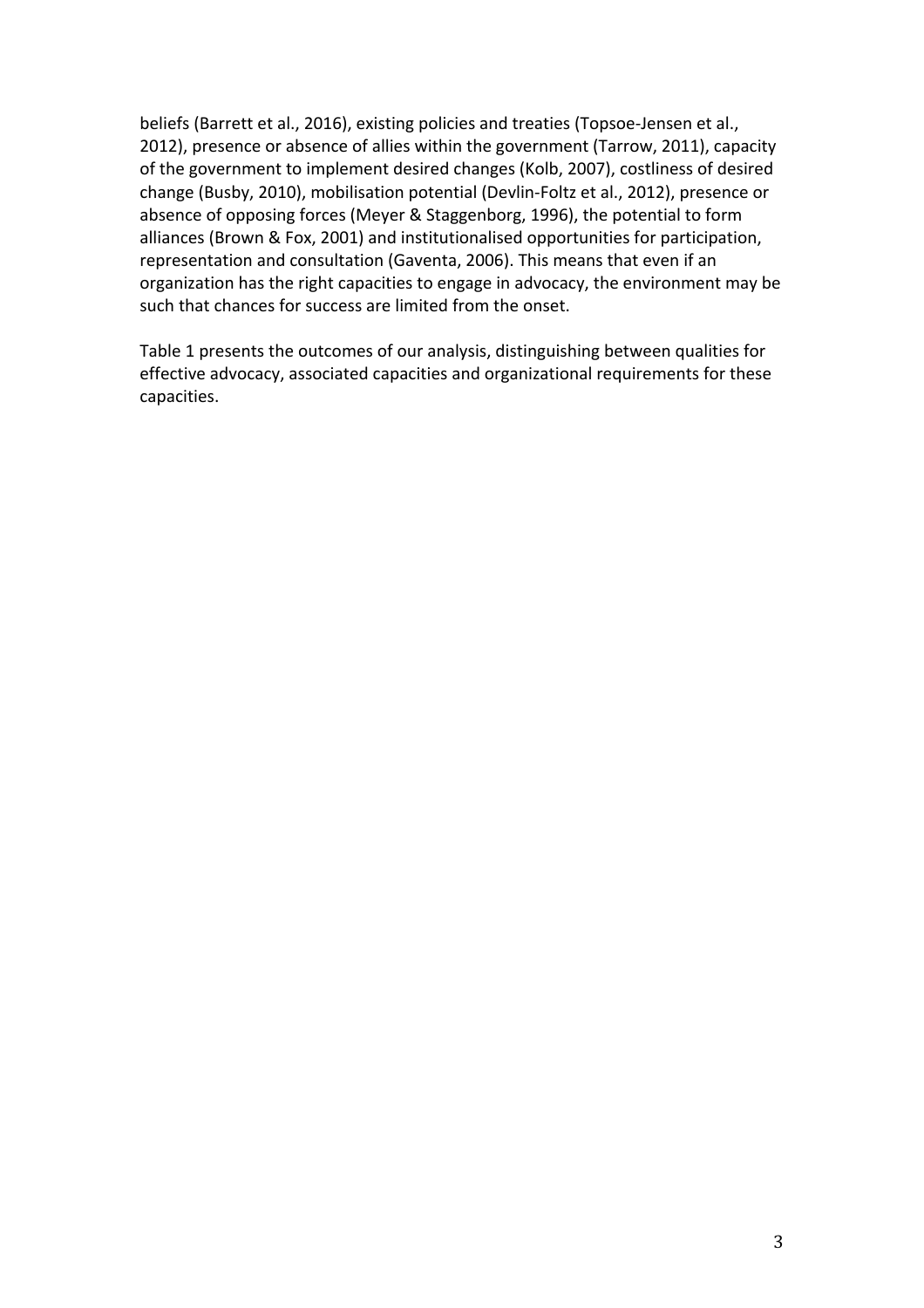beliefs (Barrett et al., 2016), existing policies and treaties (Topsoe-Jensen et al., 2012), presence or absence of allies within the government (Tarrow, 2011), capacity of the government to implement desired changes (Kolb, 2007), costliness of desired change (Busby, 2010), mobilisation potential (Devlin-Foltz et al., 2012), presence or absence of opposing forces (Meyer & Staggenborg, 1996), the potential to form alliances (Brown & Fox, 2001) and institutionalised opportunities for participation, representation and consultation (Gaventa, 2006). This means that even if an organization has the right capacities to engage in advocacy, the environment may be such that chances for success are limited from the onset.

Table 1 presents the outcomes of our analysis, distinguishing between qualities for effective advocacy, associated capacities and organizational requirements for these capacities.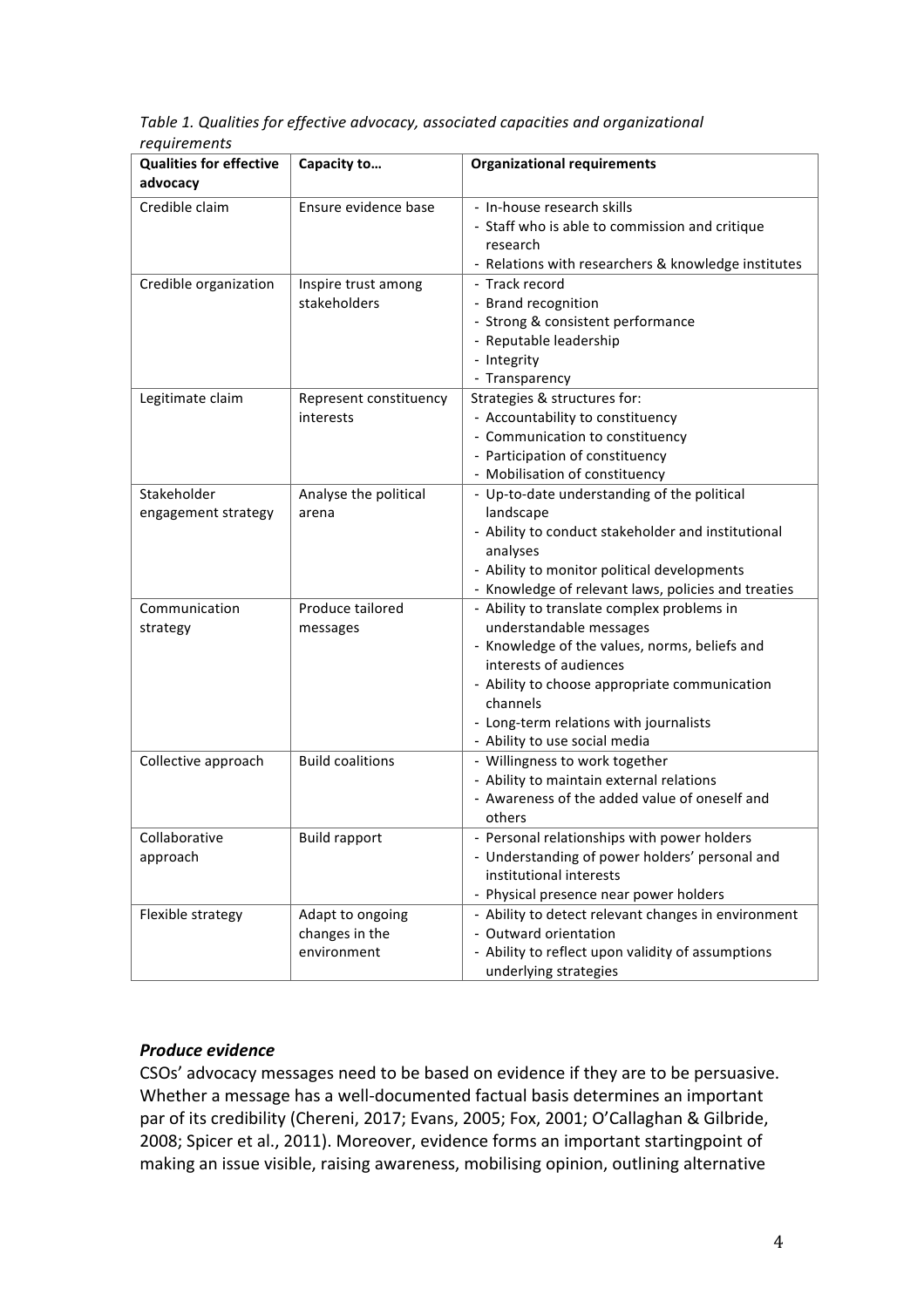Table 1. Qualities for effective advocacy, associated capacities and organizational *requirements*

| <b>Qualities for effective</b><br>advocacy | Capacity to                                       | <b>Organizational requirements</b>                                                                                                                                                                                                                                                       |  |
|--------------------------------------------|---------------------------------------------------|------------------------------------------------------------------------------------------------------------------------------------------------------------------------------------------------------------------------------------------------------------------------------------------|--|
| Credible claim                             | Ensure evidence base                              | - In-house research skills<br>- Staff who is able to commission and critique<br>research<br>- Relations with researchers & knowledge institutes                                                                                                                                          |  |
| Credible organization                      | Inspire trust among<br>stakeholders               | - Track record<br>- Brand recognition<br>- Strong & consistent performance<br>- Reputable leadership<br>- Integrity<br>- Transparency                                                                                                                                                    |  |
| Legitimate claim                           | Represent constituency<br>interests               | Strategies & structures for:<br>- Accountability to constituency<br>- Communication to constituency<br>- Participation of constituency<br>- Mobilisation of constituency                                                                                                                 |  |
| Stakeholder<br>engagement strategy         | Analyse the political<br>arena                    | - Up-to-date understanding of the political<br>landscape<br>- Ability to conduct stakeholder and institutional<br>analyses<br>- Ability to monitor political developments<br>- Knowledge of relevant laws, policies and treaties                                                         |  |
| Communication<br>strategy                  | Produce tailored<br>messages                      | - Ability to translate complex problems in<br>understandable messages<br>- Knowledge of the values, norms, beliefs and<br>interests of audiences<br>- Ability to choose appropriate communication<br>channels<br>- Long-term relations with journalists<br>- Ability to use social media |  |
| Collective approach                        | <b>Build coalitions</b>                           | - Willingness to work together<br>- Ability to maintain external relations<br>- Awareness of the added value of oneself and<br>others                                                                                                                                                    |  |
| Collaborative<br>approach                  | <b>Build rapport</b>                              | - Personal relationships with power holders<br>- Understanding of power holders' personal and<br>institutional interests<br>- Physical presence near power holders                                                                                                                       |  |
| Flexible strategy                          | Adapt to ongoing<br>changes in the<br>environment | - Ability to detect relevant changes in environment<br>- Outward orientation<br>- Ability to reflect upon validity of assumptions<br>underlying strategies                                                                                                                               |  |

### **Produce** evidence

CSOs' advocacy messages need to be based on evidence if they are to be persuasive. Whether a message has a well-documented factual basis determines an important par of its credibility (Chereni, 2017; Evans, 2005; Fox, 2001; O'Callaghan & Gilbride, 2008; Spicer et al., 2011). Moreover, evidence forms an important startingpoint of making an issue visible, raising awareness, mobilising opinion, outlining alternative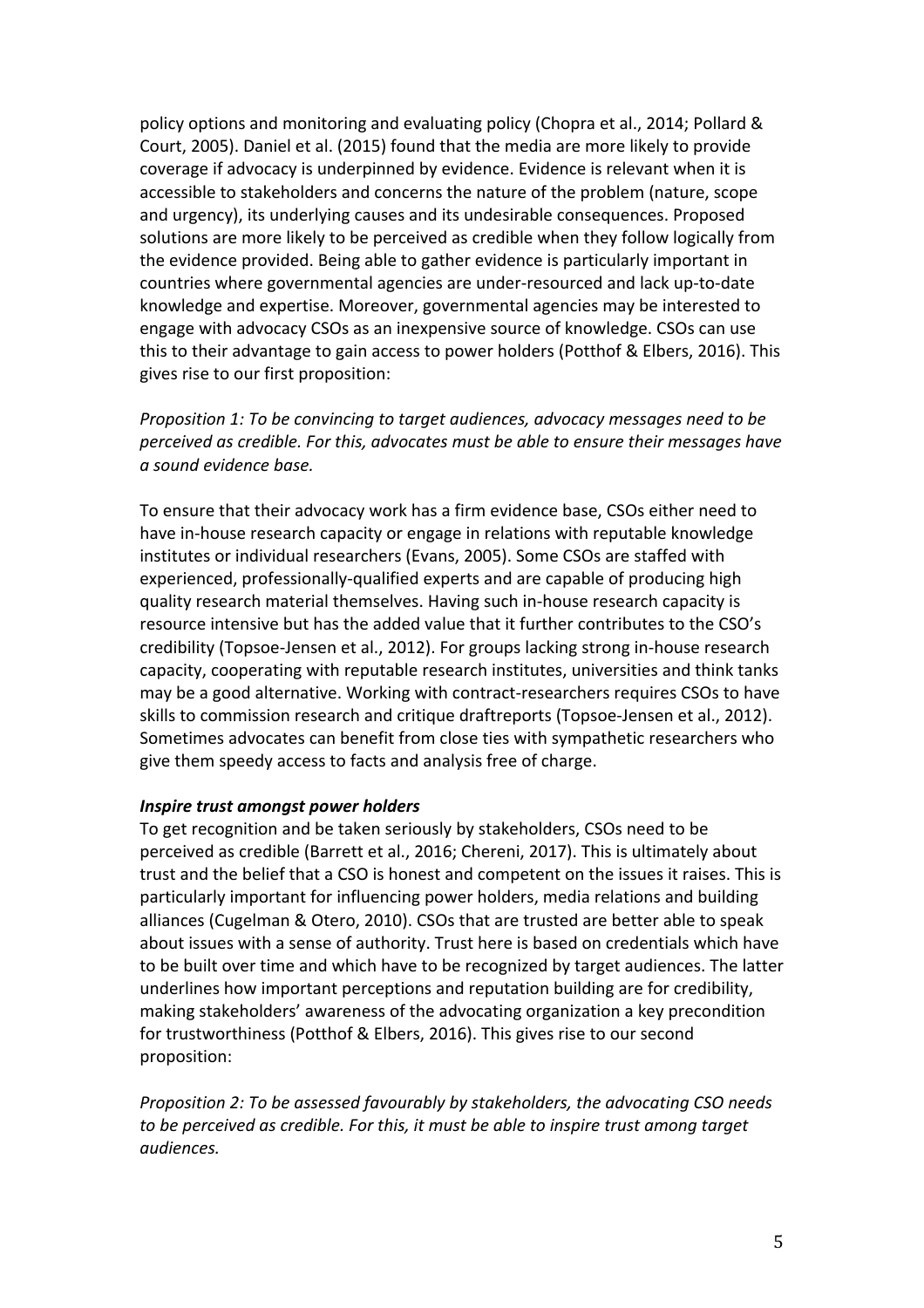policy options and monitoring and evaluating policy (Chopra et al., 2014; Pollard & Court, 2005). Daniel et al. (2015) found that the media are more likely to provide coverage if advocacy is underpinned by evidence. Evidence is relevant when it is accessible to stakeholders and concerns the nature of the problem (nature, scope and urgency), its underlying causes and its undesirable consequences. Proposed solutions are more likely to be perceived as credible when they follow logically from the evidence provided. Being able to gather evidence is particularly important in countries where governmental agencies are under-resourced and lack up-to-date knowledge and expertise. Moreover, governmental agencies may be interested to engage with advocacy CSOs as an inexpensive source of knowledge. CSOs can use this to their advantage to gain access to power holders (Potthof & Elbers, 2016). This gives rise to our first proposition:

*Proposition 1: To be convincing to target audiences, advocacy messages need to be perceived as credible. For this, advocates must be able to ensure their messages have a sound evidence base.*

To ensure that their advocacy work has a firm evidence base, CSOs either need to have in-house research capacity or engage in relations with reputable knowledge institutes or individual researchers (Evans, 2005). Some CSOs are staffed with experienced, professionally-qualified experts and are capable of producing high quality research material themselves. Having such in-house research capacity is resource intensive but has the added value that it further contributes to the CSO's credibility (Topsoe-Jensen et al., 2012). For groups lacking strong in-house research capacity, cooperating with reputable research institutes, universities and think tanks may be a good alternative. Working with contract-researchers requires CSOs to have skills to commission research and critique draftreports (Topsoe-Jensen et al., 2012). Sometimes advocates can benefit from close ties with sympathetic researchers who give them speedy access to facts and analysis free of charge.

#### *Inspire trust amongst power holders*

To get recognition and be taken seriously by stakeholders, CSOs need to be perceived as credible (Barrett et al., 2016; Chereni, 2017). This is ultimately about trust and the belief that a CSO is honest and competent on the issues it raises. This is particularly important for influencing power holders, media relations and building alliances (Cugelman & Otero, 2010). CSOs that are trusted are better able to speak about issues with a sense of authority. Trust here is based on credentials which have to be built over time and which have to be recognized by target audiences. The latter underlines how important perceptions and reputation building are for credibility, making stakeholders' awareness of the advocating organization a key precondition for trustworthiness (Potthof & Elbers, 2016). This gives rise to our second proposition:

*Proposition 2: To be assessed favourably by stakeholders, the advocating CSO needs to be perceived as credible. For this, it must be able to inspire trust among target audiences.*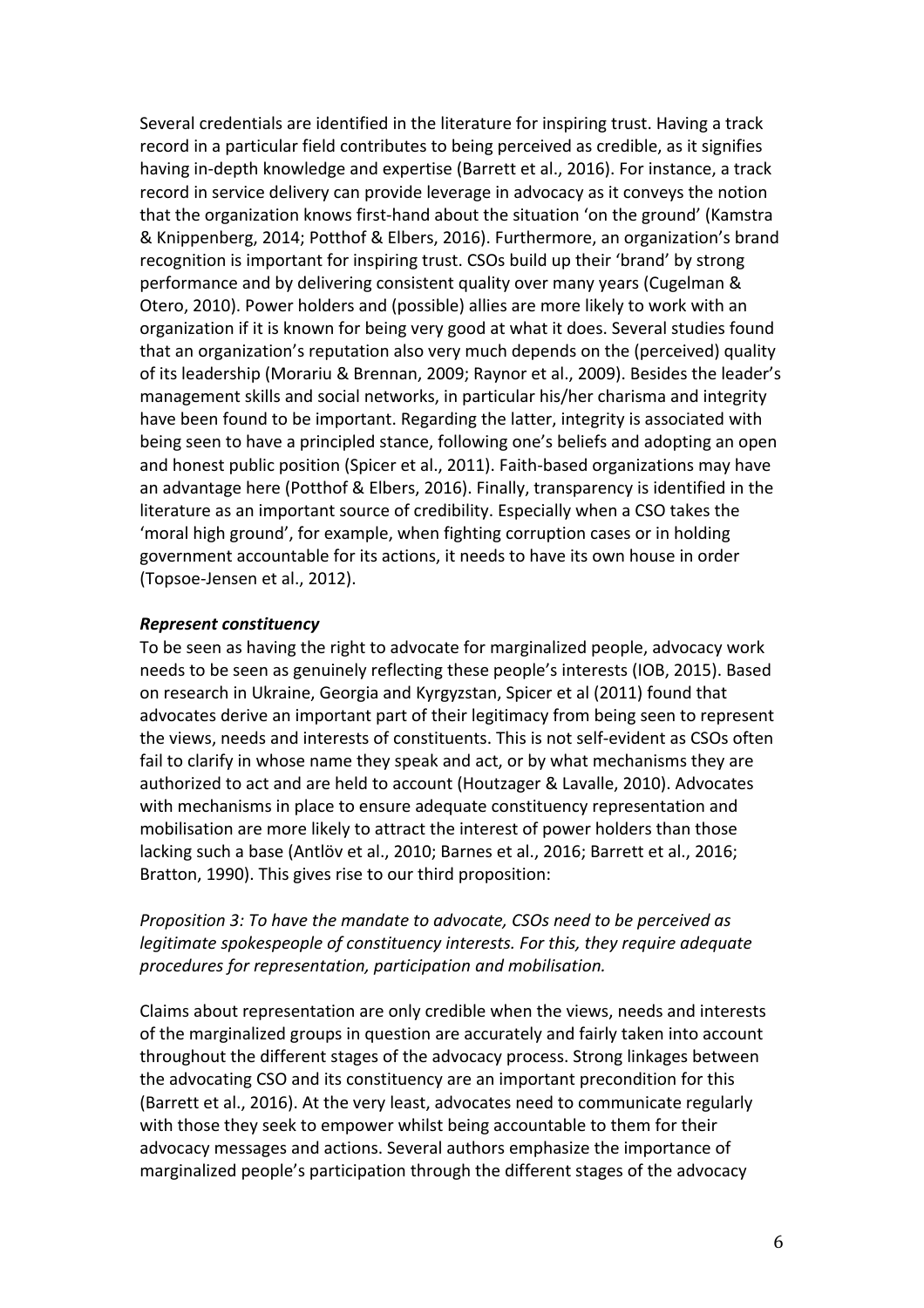Several credentials are identified in the literature for inspiring trust. Having a track record in a particular field contributes to being perceived as credible, as it signifies having in-depth knowledge and expertise (Barrett et al., 2016). For instance, a track record in service delivery can provide leverage in advocacy as it conveys the notion that the organization knows first-hand about the situation 'on the ground' (Kamstra & Knippenberg, 2014; Potthof & Elbers, 2016). Furthermore, an organization's brand recognition is important for inspiring trust. CSOs build up their 'brand' by strong performance and by delivering consistent quality over many years (Cugelman & Otero, 2010). Power holders and (possible) allies are more likely to work with an organization if it is known for being very good at what it does. Several studies found that an organization's reputation also very much depends on the (perceived) quality of its leadership (Morariu & Brennan, 2009; Raynor et al., 2009). Besides the leader's management skills and social networks, in particular his/her charisma and integrity have been found to be important. Regarding the latter, integrity is associated with being seen to have a principled stance, following one's beliefs and adopting an open and honest public position (Spicer et al., 2011). Faith-based organizations may have an advantage here (Potthof & Elbers, 2016). Finally, transparency is identified in the literature as an important source of credibility. Especially when a CSO takes the 'moral high ground', for example, when fighting corruption cases or in holding government accountable for its actions, it needs to have its own house in order (Topsoe-Jensen et al., 2012).

#### *Represent constituency*

To be seen as having the right to advocate for marginalized people, advocacy work needs to be seen as genuinely reflecting these people's interests (IOB, 2015). Based on research in Ukraine, Georgia and Kyrgyzstan, Spicer et al (2011) found that advocates derive an important part of their legitimacy from being seen to represent the views, needs and interests of constituents. This is not self-evident as CSOs often fail to clarify in whose name they speak and act, or by what mechanisms they are authorized to act and are held to account (Houtzager & Lavalle, 2010). Advocates with mechanisms in place to ensure adequate constituency representation and mobilisation are more likely to attract the interest of power holders than those lacking such a base (Antlöv et al., 2010; Barnes et al., 2016; Barrett et al., 2016; Bratton, 1990). This gives rise to our third proposition:

# *Proposition 3: To have the mandate to advocate, CSOs need to be perceived as legitimate spokespeople of constituency interests. For this, they require adequate procedures for representation, participation and mobilisation.*

Claims about representation are only credible when the views, needs and interests of the marginalized groups in question are accurately and fairly taken into account throughout the different stages of the advocacy process. Strong linkages between the advocating CSO and its constituency are an important precondition for this (Barrett et al., 2016). At the very least, advocates need to communicate regularly with those they seek to empower whilst being accountable to them for their advocacy messages and actions. Several authors emphasize the importance of marginalized people's participation through the different stages of the advocacy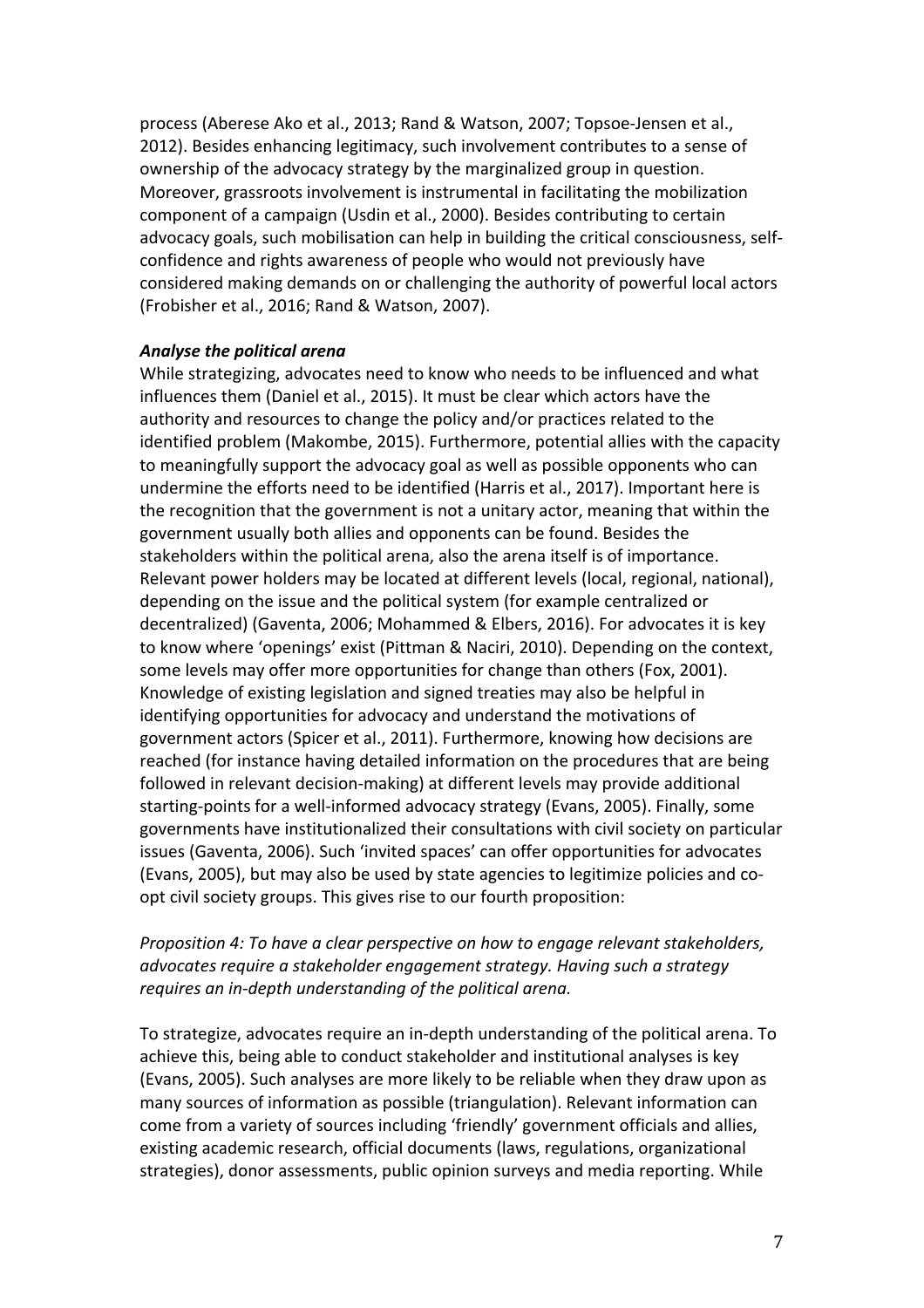process (Aberese Ako et al., 2013; Rand & Watson, 2007; Topsoe-Jensen et al., 2012). Besides enhancing legitimacy, such involvement contributes to a sense of ownership of the advocacy strategy by the marginalized group in question. Moreover, grassroots involvement is instrumental in facilitating the mobilization component of a campaign (Usdin et al., 2000). Besides contributing to certain advocacy goals, such mobilisation can help in building the critical consciousness, selfconfidence and rights awareness of people who would not previously have considered making demands on or challenging the authority of powerful local actors (Frobisher et al., 2016; Rand & Watson, 2007).

### *Analyse the political arena*

While strategizing, advocates need to know who needs to be influenced and what influences them (Daniel et al., 2015). It must be clear which actors have the authority and resources to change the policy and/or practices related to the identified problem (Makombe, 2015). Furthermore, potential allies with the capacity to meaningfully support the advocacy goal as well as possible opponents who can undermine the efforts need to be identified (Harris et al., 2017). Important here is the recognition that the government is not a unitary actor, meaning that within the government usually both allies and opponents can be found. Besides the stakeholders within the political arena, also the arena itself is of importance. Relevant power holders may be located at different levels (local, regional, national), depending on the issue and the political system (for example centralized or decentralized) (Gaventa, 2006; Mohammed & Elbers, 2016). For advocates it is key to know where 'openings' exist (Pittman & Naciri, 2010). Depending on the context, some levels may offer more opportunities for change than others (Fox, 2001). Knowledge of existing legislation and signed treaties may also be helpful in identifying opportunities for advocacy and understand the motivations of government actors (Spicer et al., 2011). Furthermore, knowing how decisions are reached (for instance having detailed information on the procedures that are being followed in relevant decision-making) at different levels may provide additional starting-points for a well-informed advocacy strategy (Evans, 2005). Finally, some governments have institutionalized their consultations with civil society on particular issues (Gaventa, 2006). Such 'invited spaces' can offer opportunities for advocates (Evans, 2005), but may also be used by state agencies to legitimize policies and coopt civil society groups. This gives rise to our fourth proposition:

# *Proposition 4: To have a clear perspective on how to engage relevant stakeholders, advocates require a stakeholder engagement strategy. Having such a strategy requires* an in-depth understanding of the political arena.

To strategize, advocates require an in-depth understanding of the political arena. To achieve this, being able to conduct stakeholder and institutional analyses is key (Evans, 2005). Such analyses are more likely to be reliable when they draw upon as many sources of information as possible (triangulation). Relevant information can come from a variety of sources including 'friendly' government officials and allies, existing academic research, official documents (laws, regulations, organizational strategies), donor assessments, public opinion surveys and media reporting. While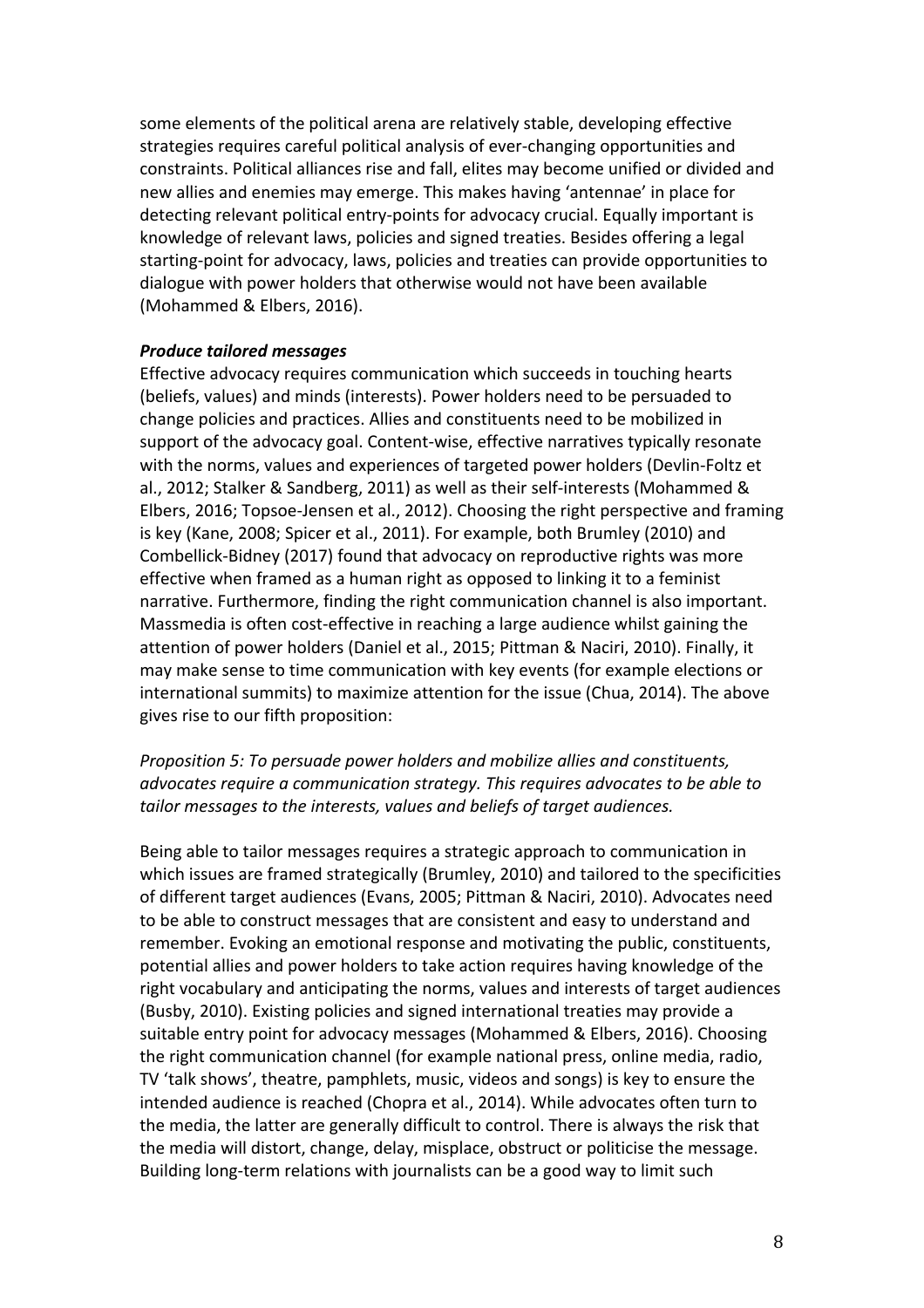some elements of the political arena are relatively stable, developing effective strategies requires careful political analysis of ever-changing opportunities and constraints. Political alliances rise and fall, elites may become unified or divided and new allies and enemies may emerge. This makes having 'antennae' in place for detecting relevant political entry-points for advocacy crucial. Equally important is knowledge of relevant laws, policies and signed treaties. Besides offering a legal starting-point for advocacy, laws, policies and treaties can provide opportunities to dialogue with power holders that otherwise would not have been available (Mohammed & Elbers, 2016).

#### *Produce tailored messages*

Effective advocacy requires communication which succeeds in touching hearts (beliefs, values) and minds (interests). Power holders need to be persuaded to change policies and practices. Allies and constituents need to be mobilized in support of the advocacy goal. Content-wise, effective narratives typically resonate with the norms, values and experiences of targeted power holders (Devlin-Foltz et al., 2012; Stalker & Sandberg, 2011) as well as their self-interests (Mohammed & Elbers, 2016; Topsoe-Jensen et al., 2012). Choosing the right perspective and framing is key (Kane, 2008; Spicer et al., 2011). For example, both Brumley (2010) and Combellick-Bidney (2017) found that advocacy on reproductive rights was more effective when framed as a human right as opposed to linking it to a feminist narrative. Furthermore, finding the right communication channel is also important. Massmedia is often cost-effective in reaching a large audience whilst gaining the attention of power holders (Daniel et al., 2015; Pittman & Naciri, 2010). Finally, it may make sense to time communication with key events (for example elections or international summits) to maximize attention for the issue (Chua, 2014). The above gives rise to our fifth proposition:

# *Proposition 5: To persuade power holders and mobilize allies and constituents, advocates require a communication strategy. This requires advocates to be able to*  tailor messages to the interests, values and beliefs of target audiences.

Being able to tailor messages requires a strategic approach to communication in which issues are framed strategically (Brumley, 2010) and tailored to the specificities of different target audiences (Evans, 2005; Pittman & Naciri, 2010). Advocates need to be able to construct messages that are consistent and easy to understand and remember. Evoking an emotional response and motivating the public, constituents, potential allies and power holders to take action requires having knowledge of the right vocabulary and anticipating the norms, values and interests of target audiences (Busby, 2010). Existing policies and signed international treaties may provide a suitable entry point for advocacy messages (Mohammed & Elbers, 2016). Choosing the right communication channel (for example national press, online media, radio, TV 'talk shows', theatre, pamphlets, music, videos and songs) is key to ensure the intended audience is reached (Chopra et al., 2014). While advocates often turn to the media, the latter are generally difficult to control. There is always the risk that the media will distort, change, delay, misplace, obstruct or politicise the message. Building long-term relations with journalists can be a good way to limit such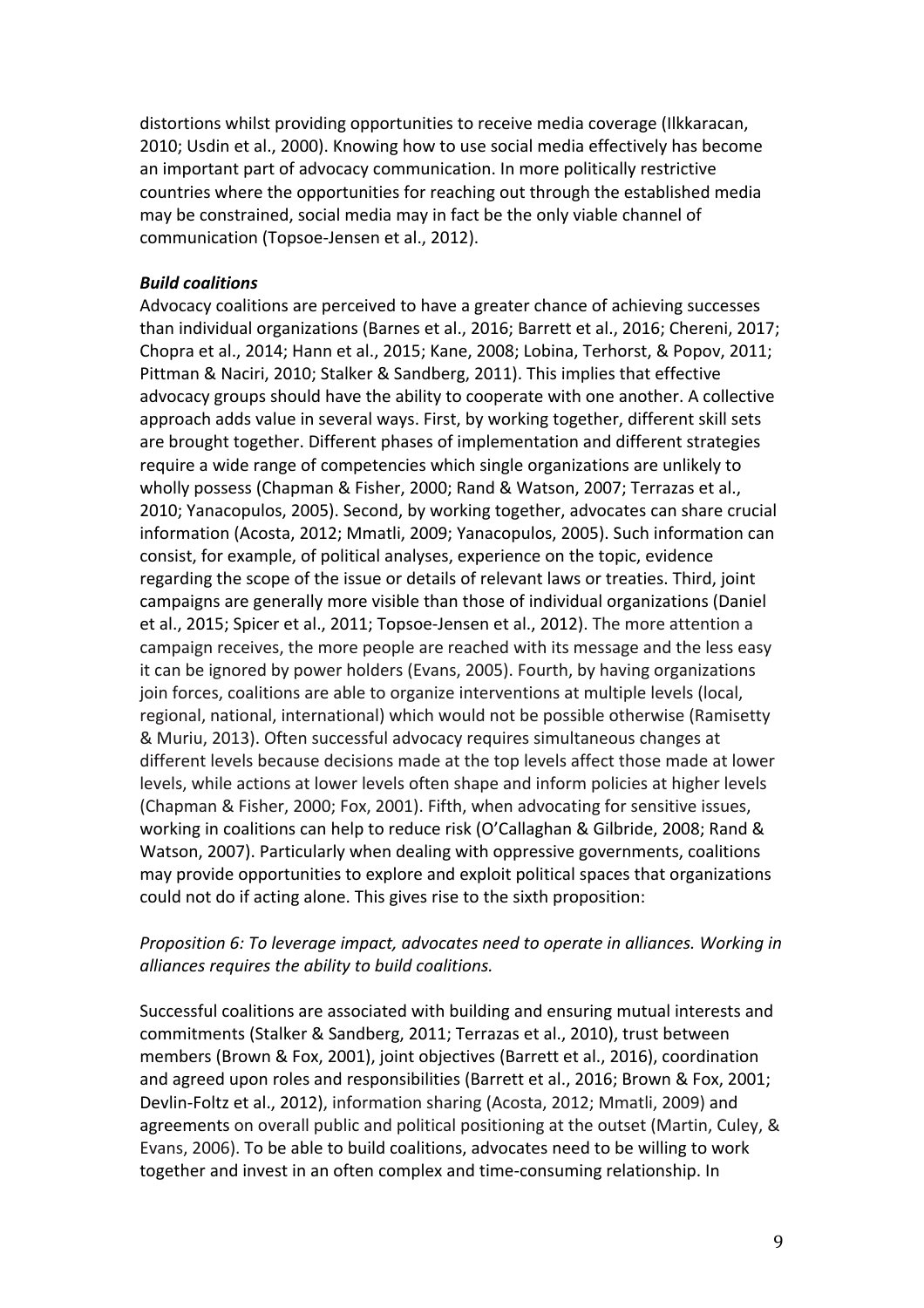distortions whilst providing opportunities to receive media coverage (Ilkkaracan, 2010; Usdin et al., 2000). Knowing how to use social media effectively has become an important part of advocacy communication. In more politically restrictive countries where the opportunities for reaching out through the established media may be constrained, social media may in fact be the only viable channel of communication (Topsoe-Jensen et al., 2012).

#### *Build coalitions*

Advocacy coalitions are perceived to have a greater chance of achieving successes than individual organizations (Barnes et al., 2016; Barrett et al., 2016; Chereni, 2017; Chopra et al., 2014; Hann et al., 2015; Kane, 2008; Lobina, Terhorst, & Popov, 2011; Pittman & Naciri, 2010; Stalker & Sandberg, 2011). This implies that effective advocacy groups should have the ability to cooperate with one another. A collective approach adds value in several ways. First, by working together, different skill sets are brought together. Different phases of implementation and different strategies require a wide range of competencies which single organizations are unlikely to wholly possess (Chapman & Fisher, 2000; Rand & Watson, 2007; Terrazas et al., 2010; Yanacopulos, 2005). Second, by working together, advocates can share crucial information (Acosta, 2012; Mmatli, 2009; Yanacopulos, 2005). Such information can consist, for example, of political analyses, experience on the topic, evidence regarding the scope of the issue or details of relevant laws or treaties. Third, joint campaigns are generally more visible than those of individual organizations (Daniel et al., 2015; Spicer et al., 2011; Topsoe-Jensen et al., 2012). The more attention a campaign receives, the more people are reached with its message and the less easy it can be ignored by power holders (Evans, 2005). Fourth, by having organizations join forces, coalitions are able to organize interventions at multiple levels (local, regional, national, international) which would not be possible otherwise (Ramisetty & Muriu, 2013). Often successful advocacy requires simultaneous changes at different levels because decisions made at the top levels affect those made at lower levels, while actions at lower levels often shape and inform policies at higher levels (Chapman & Fisher, 2000; Fox, 2001). Fifth, when advocating for sensitive issues. working in coalitions can help to reduce risk (O'Callaghan & Gilbride, 2008; Rand & Watson, 2007). Particularly when dealing with oppressive governments, coalitions may provide opportunities to explore and exploit political spaces that organizations could not do if acting alone. This gives rise to the sixth proposition:

### *Proposition 6: To leverage impact, advocates need to operate in alliances. Working in alliances requires the ability to build coalitions.*

Successful coalitions are associated with building and ensuring mutual interests and commitments (Stalker & Sandberg, 2011; Terrazas et al., 2010), trust between members (Brown & Fox, 2001), joint objectives (Barrett et al., 2016), coordination and agreed upon roles and responsibilities (Barrett et al., 2016; Brown & Fox, 2001; Devlin-Foltz et al., 2012), information sharing (Acosta, 2012; Mmatli, 2009) and agreements on overall public and political positioning at the outset (Martin, Culey, & Evans, 2006). To be able to build coalitions, advocates need to be willing to work together and invest in an often complex and time-consuming relationship. In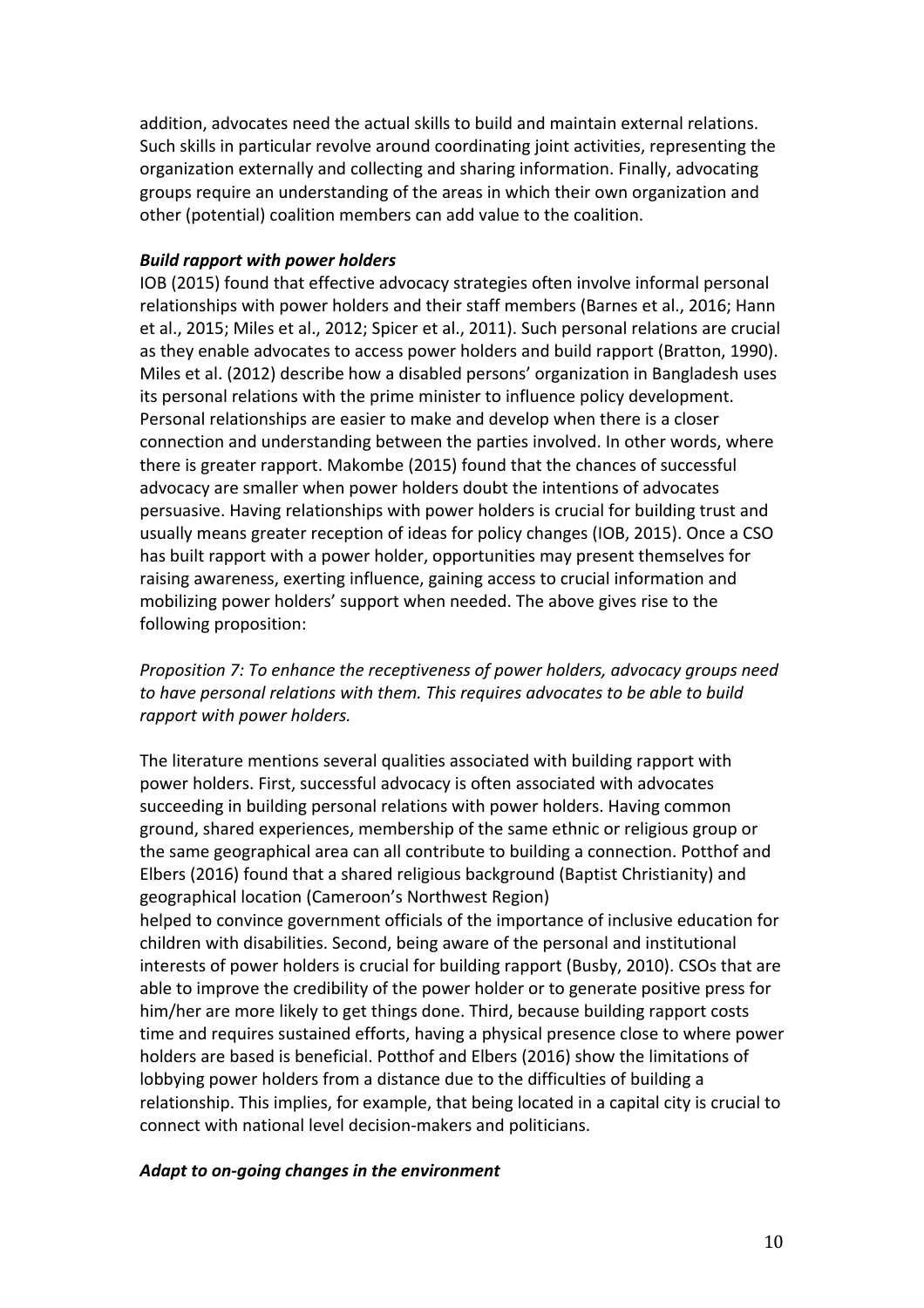addition, advocates need the actual skills to build and maintain external relations. Such skills in particular revolve around coordinating joint activities, representing the organization externally and collecting and sharing information. Finally, advocating groups require an understanding of the areas in which their own organization and other (potential) coalition members can add value to the coalition.

## *Build rapport with power holders*

IOB (2015) found that effective advocacy strategies often involve informal personal relationships with power holders and their staff members (Barnes et al., 2016; Hann et al., 2015; Miles et al., 2012; Spicer et al., 2011). Such personal relations are crucial as they enable advocates to access power holders and build rapport (Bratton, 1990). Miles et al. (2012) describe how a disabled persons' organization in Bangladesh uses its personal relations with the prime minister to influence policy development. Personal relationships are easier to make and develop when there is a closer connection and understanding between the parties involved. In other words, where there is greater rapport. Makombe (2015) found that the chances of successful advocacy are smaller when power holders doubt the intentions of advocates persuasive. Having relationships with power holders is crucial for building trust and usually means greater reception of ideas for policy changes (IOB, 2015). Once a CSO has built rapport with a power holder, opportunities may present themselves for raising awareness, exerting influence, gaining access to crucial information and mobilizing power holders' support when needed. The above gives rise to the following proposition:

*Proposition 7: To enhance the receptiveness of power holders, advocacy groups need to have personal relations with them. This requires advocates to be able to build rapport* with *power* holders.

The literature mentions several qualities associated with building rapport with power holders. First, successful advocacy is often associated with advocates succeeding in building personal relations with power holders. Having common ground, shared experiences, membership of the same ethnic or religious group or the same geographical area can all contribute to building a connection. Potthof and Elbers (2016) found that a shared religious background (Baptist Christianity) and geographical location (Cameroon's Northwest Region)

helped to convince government officials of the importance of inclusive education for children with disabilities. Second, being aware of the personal and institutional interests of power holders is crucial for building rapport (Busby, 2010). CSOs that are able to improve the credibility of the power holder or to generate positive press for him/her are more likely to get things done. Third, because building rapport costs time and requires sustained efforts, having a physical presence close to where power holders are based is beneficial. Potthof and Elbers (2016) show the limitations of lobbying power holders from a distance due to the difficulties of building a relationship. This implies, for example, that being located in a capital city is crucial to connect with national level decision-makers and politicians.

### Adapt to on-going changes in the environment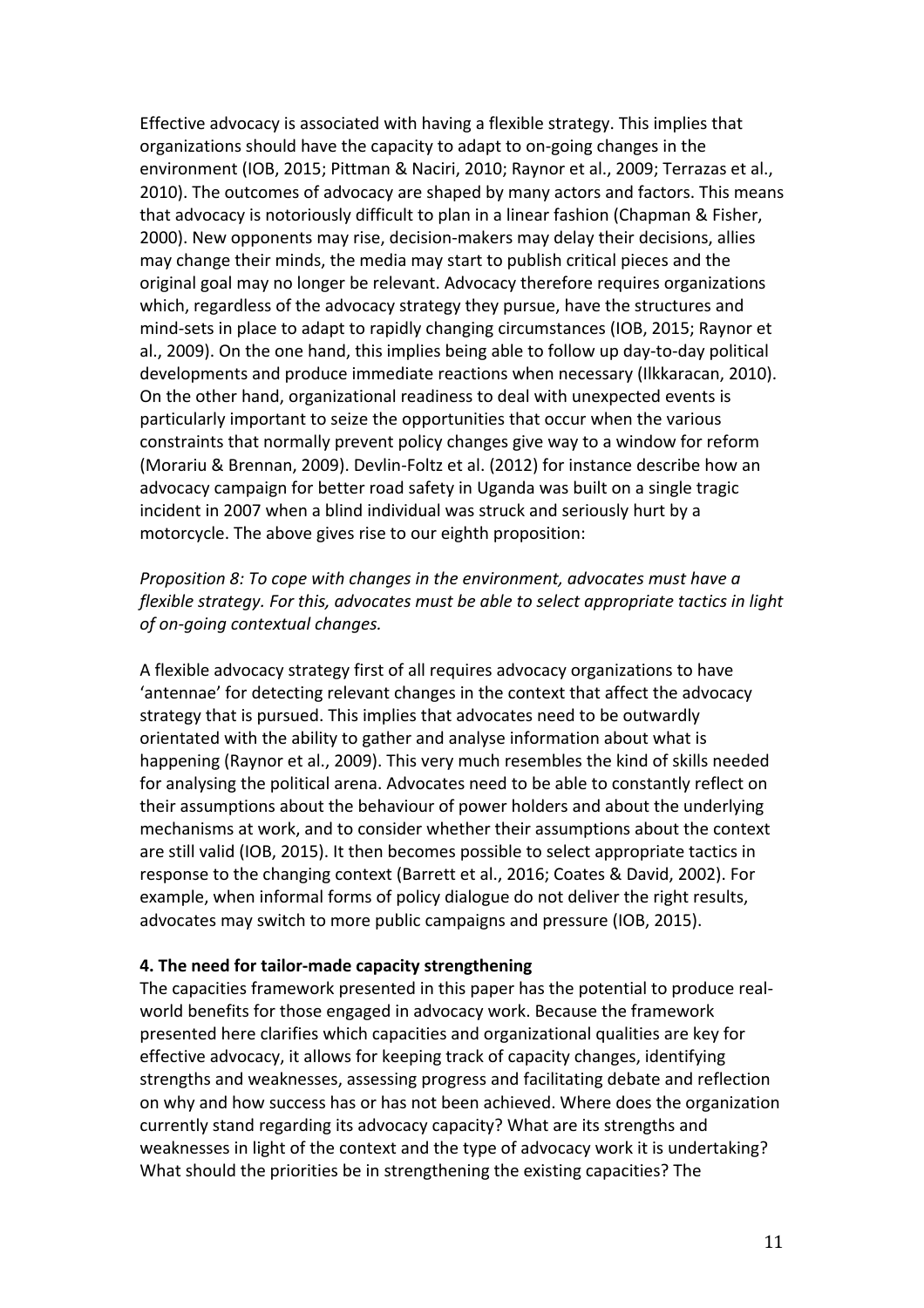Effective advocacy is associated with having a flexible strategy. This implies that organizations should have the capacity to adapt to on-going changes in the environment (IOB, 2015; Pittman & Naciri, 2010; Raynor et al., 2009; Terrazas et al., 2010). The outcomes of advocacy are shaped by many actors and factors. This means that advocacy is notoriously difficult to plan in a linear fashion (Chapman & Fisher, 2000). New opponents may rise, decision-makers may delay their decisions, allies may change their minds, the media may start to publish critical pieces and the original goal may no longer be relevant. Advocacy therefore requires organizations which, regardless of the advocacy strategy they pursue, have the structures and mind-sets in place to adapt to rapidly changing circumstances (IOB, 2015; Raynor et al., 2009). On the one hand, this implies being able to follow up day-to-day political developments and produce immediate reactions when necessary (Ilkkaracan, 2010). On the other hand, organizational readiness to deal with unexpected events is particularly important to seize the opportunities that occur when the various constraints that normally prevent policy changes give way to a window for reform (Morariu & Brennan, 2009). Devlin-Foltz et al. (2012) for instance describe how an advocacy campaign for better road safety in Uganda was built on a single tragic incident in 2007 when a blind individual was struck and seriously hurt by a motorcycle. The above gives rise to our eighth proposition:

*Proposition 8: To cope with changes in the environment, advocates must have a flexible strategy.* For this, advocates must be able to select appropriate tactics in light *of on-going contextual changes.*

A flexible advocacy strategy first of all requires advocacy organizations to have 'antennae' for detecting relevant changes in the context that affect the advocacy strategy that is pursued. This implies that advocates need to be outwardly orientated with the ability to gather and analyse information about what is happening (Raynor et al., 2009). This very much resembles the kind of skills needed for analysing the political arena. Advocates need to be able to constantly reflect on their assumptions about the behaviour of power holders and about the underlying mechanisms at work, and to consider whether their assumptions about the context are still valid (IOB, 2015). It then becomes possible to select appropriate tactics in response to the changing context (Barrett et al., 2016; Coates & David, 2002). For example, when informal forms of policy dialogue do not deliver the right results, advocates may switch to more public campaigns and pressure (IOB, 2015).

#### **4. The need for tailor-made capacity strengthening**

The capacities framework presented in this paper has the potential to produce realworld benefits for those engaged in advocacy work. Because the framework presented here clarifies which capacities and organizational qualities are key for effective advocacy, it allows for keeping track of capacity changes, identifying strengths and weaknesses, assessing progress and facilitating debate and reflection on why and how success has or has not been achieved. Where does the organization currently stand regarding its advocacy capacity? What are its strengths and weaknesses in light of the context and the type of advocacy work it is undertaking? What should the priorities be in strengthening the existing capacities? The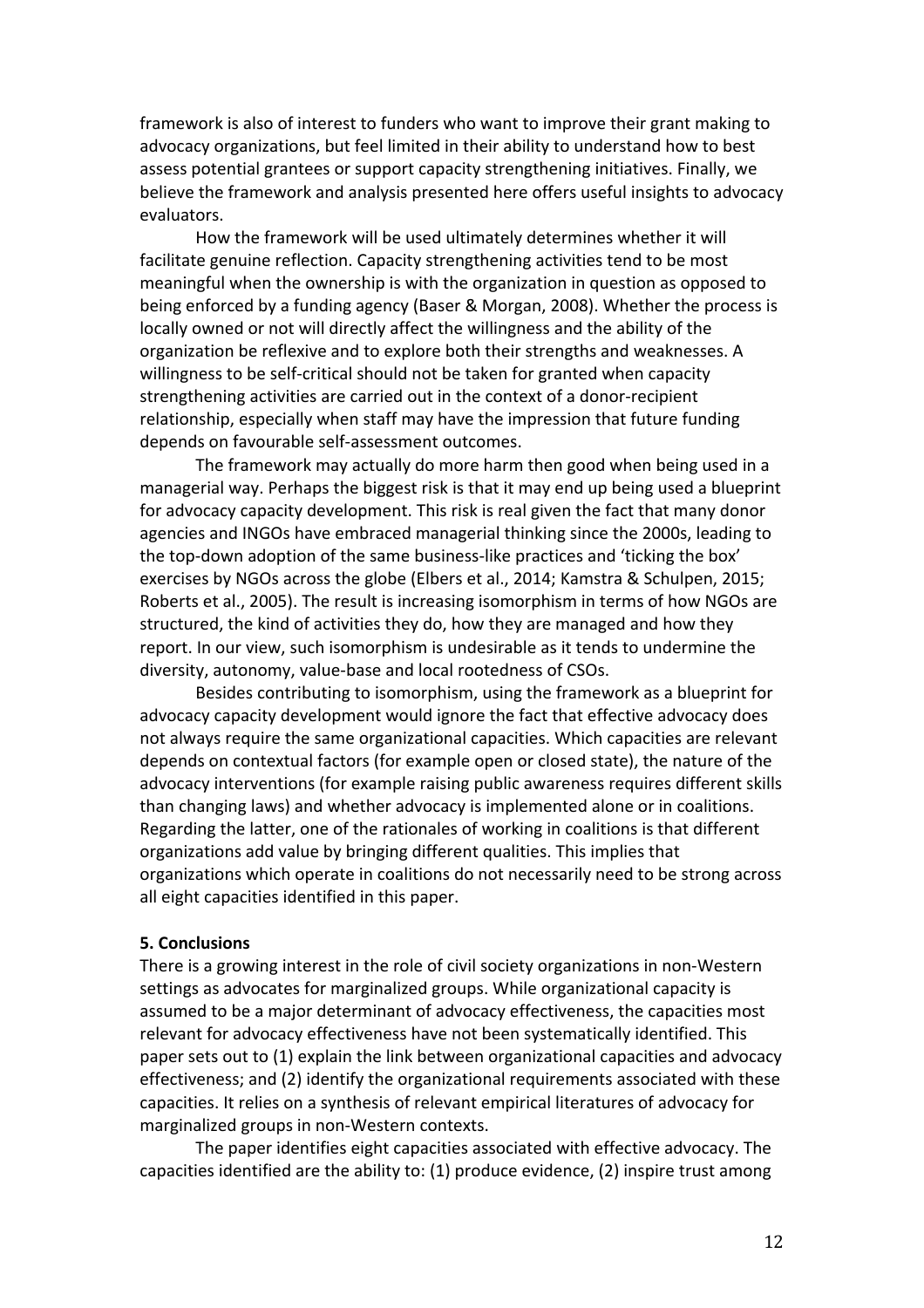framework is also of interest to funders who want to improve their grant making to advocacy organizations, but feel limited in their ability to understand how to best assess potential grantees or support capacity strengthening initiatives. Finally, we believe the framework and analysis presented here offers useful insights to advocacy evaluators. 

How the framework will be used ultimately determines whether it will facilitate genuine reflection. Capacity strengthening activities tend to be most meaningful when the ownership is with the organization in question as opposed to being enforced by a funding agency (Baser & Morgan, 2008). Whether the process is locally owned or not will directly affect the willingness and the ability of the organization be reflexive and to explore both their strengths and weaknesses. A willingness to be self-critical should not be taken for granted when capacity strengthening activities are carried out in the context of a donor-recipient relationship, especially when staff may have the impression that future funding depends on favourable self-assessment outcomes.

The framework may actually do more harm then good when being used in a managerial way. Perhaps the biggest risk is that it may end up being used a blueprint for advocacy capacity development. This risk is real given the fact that many donor agencies and INGOs have embraced managerial thinking since the 2000s, leading to the top-down adoption of the same business-like practices and 'ticking the box' exercises by NGOs across the globe (Elbers et al., 2014; Kamstra & Schulpen, 2015; Roberts et al., 2005). The result is increasing isomorphism in terms of how NGOs are structured, the kind of activities they do, how they are managed and how they report. In our view, such isomorphism is undesirable as it tends to undermine the diversity, autonomy, value-base and local rootedness of CSOs.

Besides contributing to isomorphism, using the framework as a blueprint for advocacy capacity development would ignore the fact that effective advocacy does not always require the same organizational capacities. Which capacities are relevant depends on contextual factors (for example open or closed state), the nature of the advocacy interventions (for example raising public awareness requires different skills than changing laws) and whether advocacy is implemented alone or in coalitions. Regarding the latter, one of the rationales of working in coalitions is that different organizations add value by bringing different qualities. This implies that organizations which operate in coalitions do not necessarily need to be strong across all eight capacities identified in this paper.

#### **5. Conclusions**

There is a growing interest in the role of civil society organizations in non-Western settings as advocates for marginalized groups. While organizational capacity is assumed to be a major determinant of advocacy effectiveness, the capacities most relevant for advocacy effectiveness have not been systematically identified. This paper sets out to (1) explain the link between organizational capacities and advocacy effectiveness; and (2) identify the organizational requirements associated with these capacities. It relies on a synthesis of relevant empirical literatures of advocacy for marginalized groups in non-Western contexts.

The paper identifies eight capacities associated with effective advocacy. The capacities identified are the ability to:  $(1)$  produce evidence,  $(2)$  inspire trust among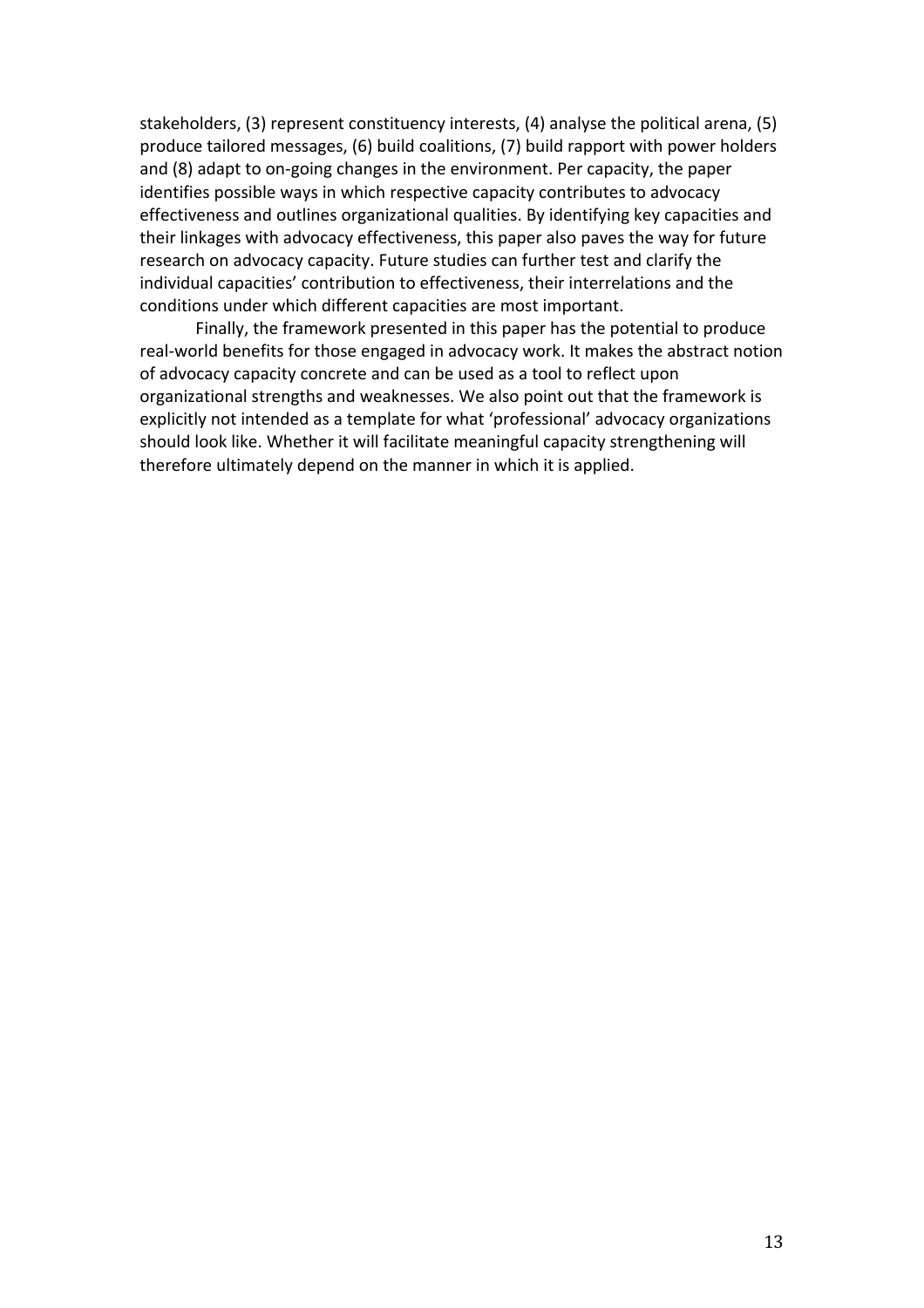stakeholders, (3) represent constituency interests, (4) analyse the political arena, (5) produce tailored messages, (6) build coalitions, (7) build rapport with power holders and (8) adapt to on-going changes in the environment. Per capacity, the paper identifies possible ways in which respective capacity contributes to advocacy effectiveness and outlines organizational qualities. By identifying key capacities and their linkages with advocacy effectiveness, this paper also paves the way for future research on advocacy capacity. Future studies can further test and clarify the individual capacities' contribution to effectiveness, their interrelations and the conditions under which different capacities are most important.

Finally, the framework presented in this paper has the potential to produce real-world benefits for those engaged in advocacy work. It makes the abstract notion of advocacy capacity concrete and can be used as a tool to reflect upon organizational strengths and weaknesses. We also point out that the framework is explicitly not intended as a template for what 'professional' advocacy organizations should look like. Whether it will facilitate meaningful capacity strengthening will therefore ultimately depend on the manner in which it is applied.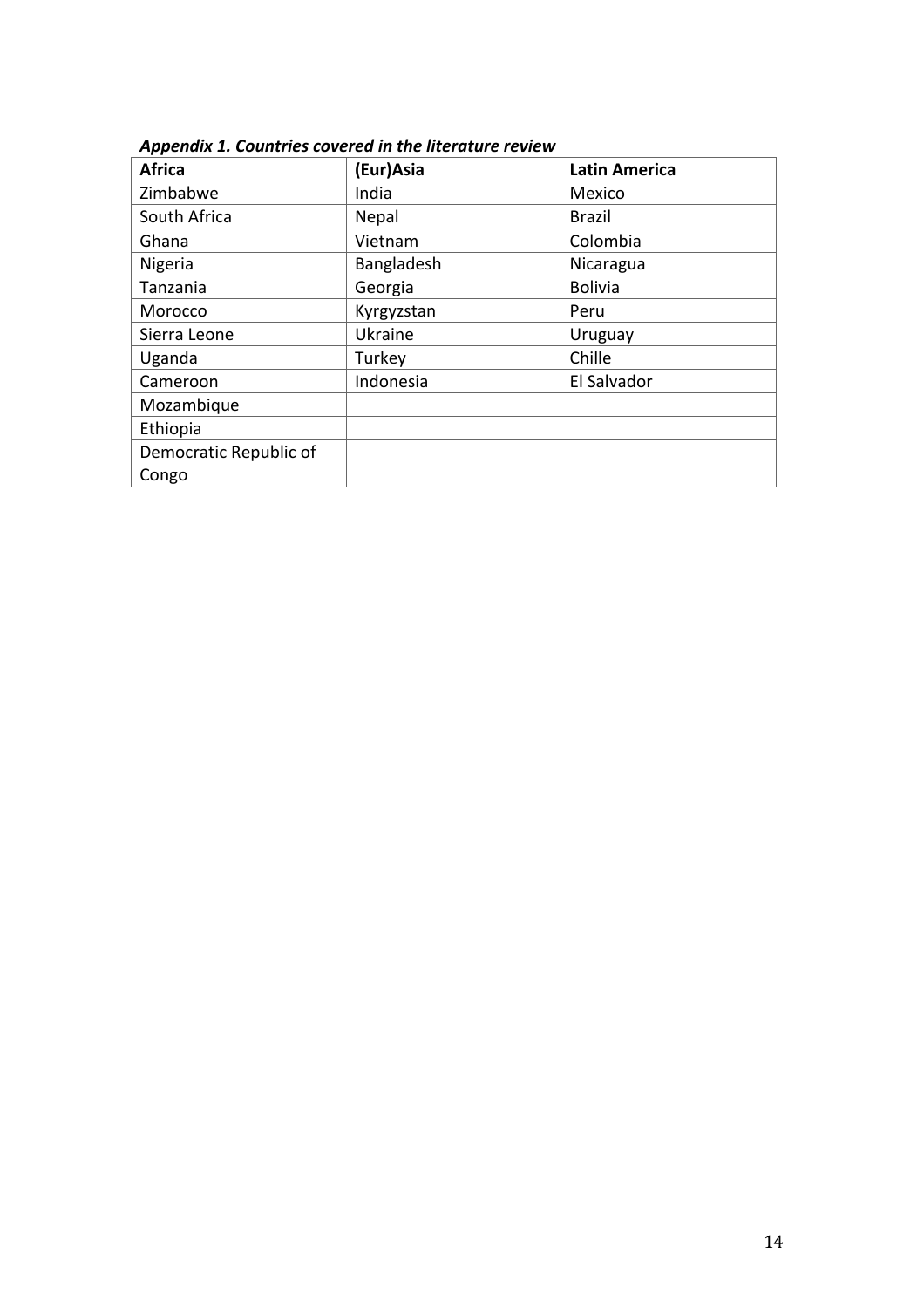| <b>Africa</b>          | (Eur)Asia  | <b>Latin America</b> |
|------------------------|------------|----------------------|
| Zimbabwe               | India      | Mexico               |
| South Africa           | Nepal      | <b>Brazil</b>        |
| Ghana                  | Vietnam    | Colombia             |
| Nigeria                | Bangladesh | Nicaragua            |
| Tanzania               | Georgia    | <b>Bolivia</b>       |
| Morocco                | Kyrgyzstan | Peru                 |
| Sierra Leone           | Ukraine    | Uruguay              |
| Uganda                 | Turkey     | Chille               |
| Cameroon               | Indonesia  | El Salvador          |
| Mozambique             |            |                      |
| Ethiopia               |            |                      |
| Democratic Republic of |            |                      |
| Congo                  |            |                      |

Appendix 1. Countries covered in the literature review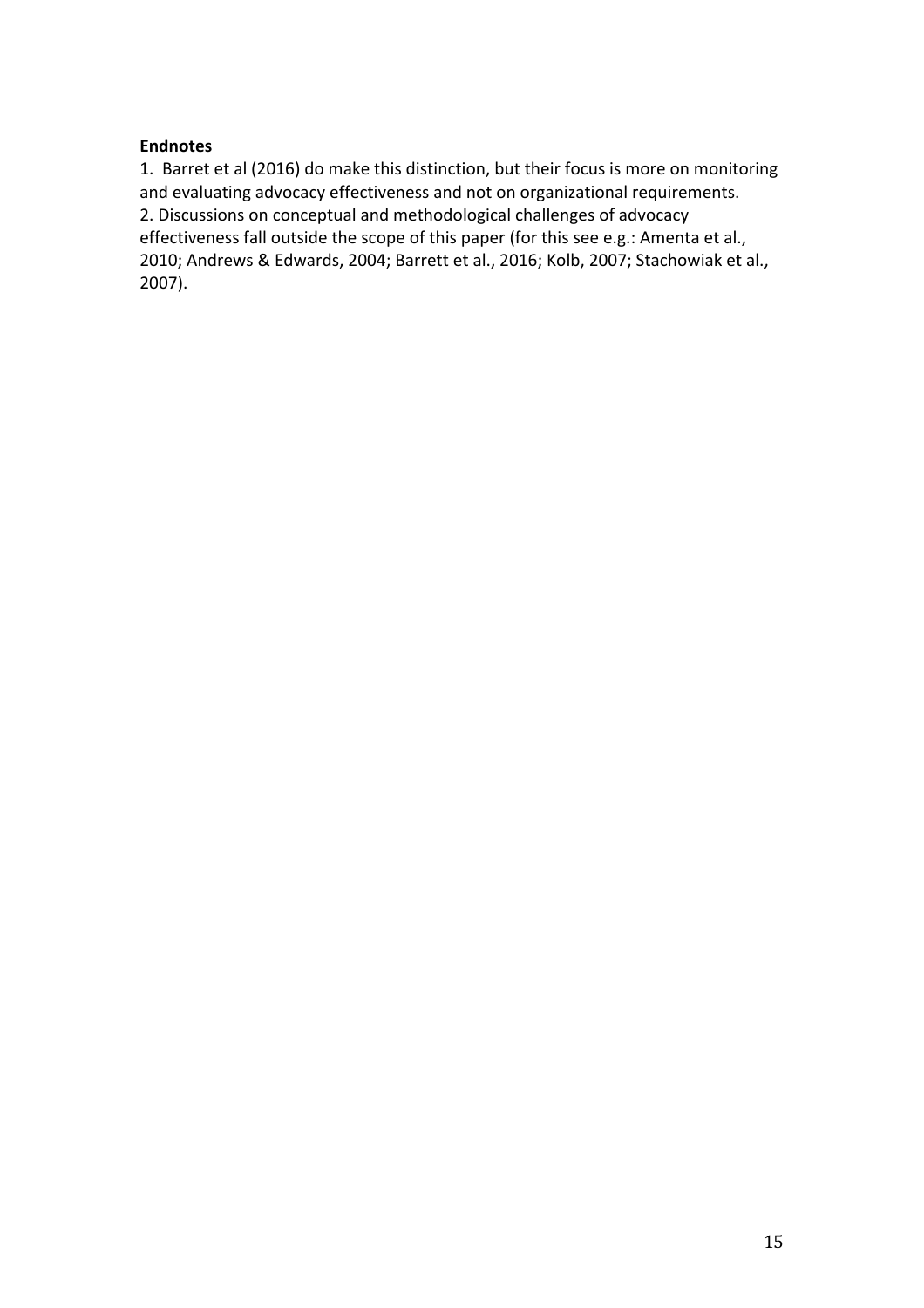# **Endnotes**

1. Barret et al (2016) do make this distinction, but their focus is more on monitoring and evaluating advocacy effectiveness and not on organizational requirements. 2. Discussions on conceptual and methodological challenges of advocacy effectiveness fall outside the scope of this paper (for this see e.g.: Amenta et al., 2010; Andrews & Edwards, 2004; Barrett et al., 2016; Kolb, 2007; Stachowiak et al., 2007).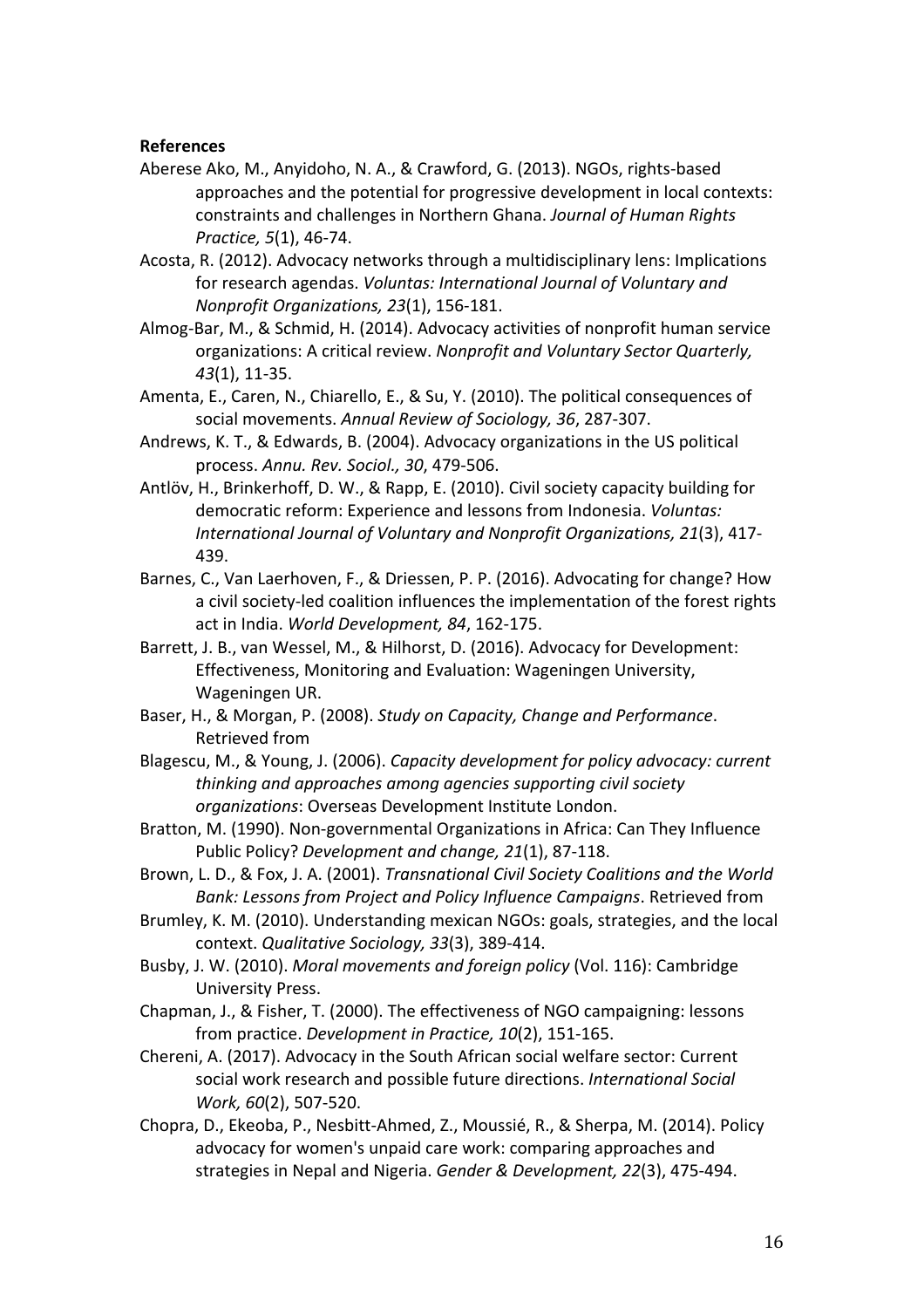#### **References**

- Aberese Ako, M., Anyidoho, N. A., & Crawford, G. (2013). NGOs, rights-based approaches and the potential for progressive development in local contexts: constraints and challenges in Northern Ghana. *Journal of Human Rights Practice, 5*(1), 46-74.
- Acosta, R. (2012). Advocacy networks through a multidisciplinary lens: Implications for research agendas. *Voluntas: International Journal of Voluntary and Nonprofit Organizations, 23*(1), 156-181.
- Almog-Bar, M., & Schmid, H. (2014). Advocacy activities of nonprofit human service organizations: A critical review. *Nonprofit and Voluntary Sector Quarterly*, *43*(1), 11-35.
- Amenta, E., Caren, N., Chiarello, E., & Su, Y. (2010). The political consequences of social movements. Annual Review of Sociology, 36, 287-307.
- Andrews, K. T., & Edwards, B. (2004). Advocacy organizations in the US political process. *Annu. Rev. Sociol., 30*, 479-506.
- Antlöv, H., Brinkerhoff, D. W., & Rapp, E. (2010). Civil society capacity building for democratic reform: Experience and lessons from Indonesia. *Voluntas:* International Journal of Voluntary and Nonprofit Organizations, 21(3), 417-439.
- Barnes, C., Van Laerhoven, F., & Driessen, P. P. (2016). Advocating for change? How a civil society-led coalition influences the implementation of the forest rights act in India. World Development, 84, 162-175.
- Barrett, J. B., van Wessel, M., & Hilhorst, D. (2016). Advocacy for Development: Effectiveness, Monitoring and Evaluation: Wageningen University, Wageningen UR.
- Baser, H., & Morgan, P. (2008). *Study on Capacity, Change and Performance*. Retrieved from
- Blagescu, M., & Young, J. (2006). *Capacity development for policy advocacy: current thinking and approaches among agencies supporting civil society organizations*: Overseas Development Institute London.
- Bratton, M. (1990). Non-governmental Organizations in Africa: Can They Influence Public Policy? Development and change, 21(1), 87-118.
- Brown, L. D., & Fox, J. A. (2001). *Transnational Civil Society Coalitions and the World Bank: Lessons from Project and Policy Influence Campaigns*. Retrieved from
- Brumley, K. M. (2010). Understanding mexican NGOs: goals, strategies, and the local context. Qualitative Sociology, 33(3), 389-414.
- Busby, J. W. (2010). *Moral movements and foreign policy* (Vol. 116): Cambridge University Press.
- Chapman, J., & Fisher, T. (2000). The effectiveness of NGO campaigning: lessons from practice. *Development in Practice, 10*(2), 151-165.
- Chereni, A. (2017). Advocacy in the South African social welfare sector: Current social work research and possible future directions. *International Social Work, 60*(2), 507-520.
- Chopra, D., Ekeoba, P., Nesbitt-Ahmed, Z., Moussié, R., & Sherpa, M. (2014). Policy advocacy for women's unpaid care work: comparing approaches and strategies in Nepal and Nigeria. Gender & Development, 22(3), 475-494.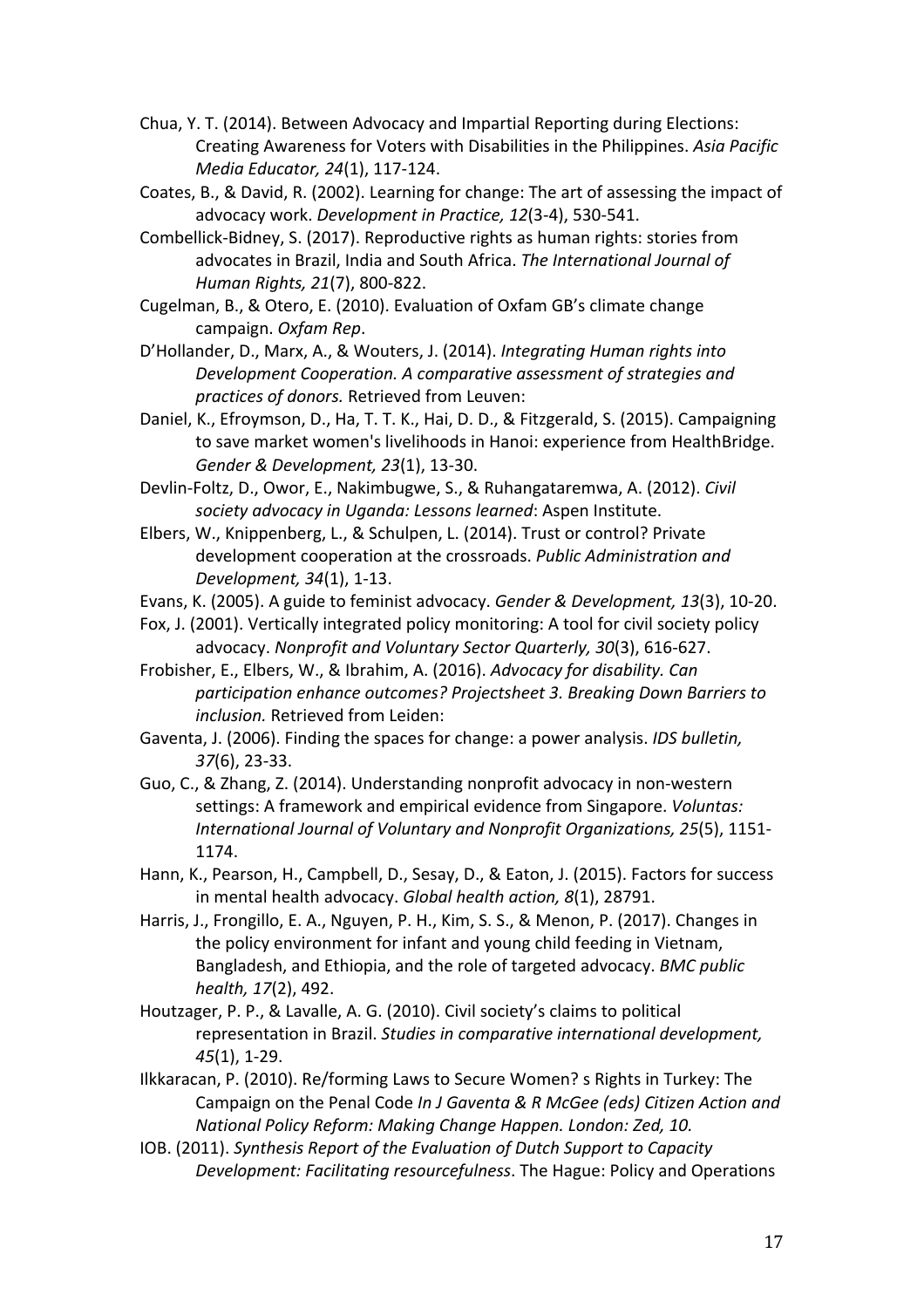- Chua, Y. T. (2014). Between Advocacy and Impartial Reporting during Elections: Creating Awareness for Voters with Disabilities in the Philippines. Asia Pacific *Media Educator, 24*(1), 117-124.
- Coates, B., & David, R. (2002). Learning for change: The art of assessing the impact of advocacy work. *Development in Practice, 12*(3-4), 530-541.
- Combellick-Bidney, S. (2017). Reproductive rights as human rights: stories from advocates in Brazil, India and South Africa. The International Journal of *Human Rights, 21*(7), 800-822.
- Cugelman, B., & Otero, E. (2010). Evaluation of Oxfam GB's climate change campaign. *Oxfam Rep*.
- D'Hollander, D., Marx, A., & Wouters, J. (2014). *Integrating Human rights into* **Development Cooperation.** A comparative assessment of strategies and *practices of donors.* Retrieved from Leuven:
- Daniel, K., Efroymson, D., Ha, T. T. K., Hai, D. D., & Fitzgerald, S. (2015). Campaigning to save market women's livelihoods in Hanoi: experience from HealthBridge. *Gender & Development, 23*(1), 13-30.
- Devlin-Foltz, D., Owor, E., Nakimbugwe, S., & Ruhangataremwa, A. (2012). *Civil* society advocacy in Uganda: Lessons learned: Aspen Institute.
- Elbers, W., Knippenberg, L., & Schulpen, L. (2014). Trust or control? Private development cooperation at the crossroads. Public Administration and *Development, 34*(1), 1-13.
- Evans, K. (2005). A guide to feminist advocacy. *Gender & Development, 13*(3), 10-20.
- Fox, J. (2001). Vertically integrated policy monitoring: A tool for civil society policy advocacy. Nonprofit and Voluntary Sector Quarterly, 30(3), 616-627.
- Frobisher, E., Elbers, W., & Ibrahim, A. (2016). *Advocacy for disability. Can* participation enhance outcomes? Projectsheet 3. Breaking Down Barriers to *inclusion.* Retrieved from Leiden:
- Gaventa, J. (2006). Finding the spaces for change: a power analysis. *IDS bulletin, 37*(6), 23-33.
- Guo, C., & Zhang, Z. (2014). Understanding nonprofit advocacy in non-western settings: A framework and empirical evidence from Singapore. *Voluntas: International Journal of Voluntary and Nonprofit Organizations, 25(5), 1151-*1174.
- Hann, K., Pearson, H., Campbell, D., Sesay, D., & Eaton, J. (2015). Factors for success in mental health advocacy. *Global health action*, 8(1), 28791.
- Harris, J., Frongillo, E. A., Nguyen, P. H., Kim, S. S., & Menon, P. (2017). Changes in the policy environment for infant and young child feeding in Vietnam, Bangladesh, and Ethiopia, and the role of targeted advocacy. *BMC public health,* 17(2), 492.
- Houtzager, P. P., & Lavalle, A. G. (2010). Civil society's claims to political representation in Brazil. *Studies in comparative international development*, *45*(1), 1-29.
- Ilkkaracan, P. (2010). Re/forming Laws to Secure Women? s Rights in Turkey: The Campaign on the Penal Code *In J Gaventa & R McGee (eds)* Citizen Action and *National Policy Reform: Making Change Happen. London: Zed, 10.*
- IOB. (2011). *Synthesis Report of the Evaluation of Dutch Support to Capacity Development: Facilitating resourcefulness*. The Hague: Policy and Operations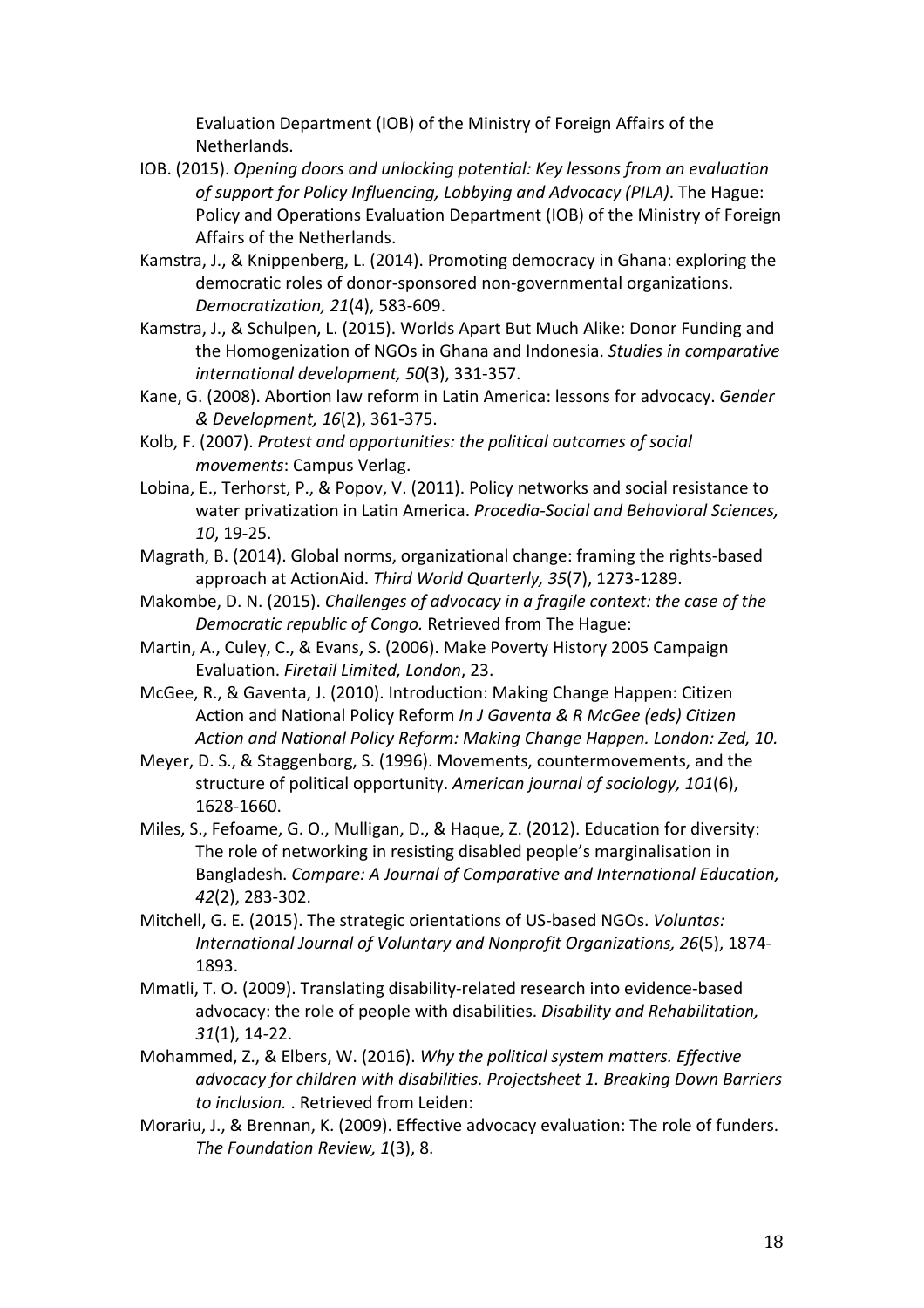Evaluation Department (IOB) of the Ministry of Foreign Affairs of the Netherlands.

- IOB. (2015). *Opening doors and unlocking potential: Key lessons from an evaluation*  of support for Policy Influencing, Lobbying and Advocacy (PILA). The Hague: Policy and Operations Evaluation Department (IOB) of the Ministry of Foreign Affairs of the Netherlands.
- Kamstra, J., & Knippenberg, L. (2014). Promoting democracy in Ghana: exploring the democratic roles of donor-sponsored non-governmental organizations. *Democratization, 21*(4), 583-609.
- Kamstra, J., & Schulpen, L. (2015). Worlds Apart But Much Alike: Donor Funding and the Homogenization of NGOs in Ghana and Indonesia. *Studies in comparative* international development, 50(3), 331-357.
- Kane, G. (2008). Abortion law reform in Latin America: lessons for advocacy. *Gender & Development, 16*(2), 361-375.
- Kolb, F. (2007). Protest and opportunities: the political outcomes of social *movements: Campus Verlag.*
- Lobina, E., Terhorst, P., & Popov, V. (2011). Policy networks and social resistance to water privatization in Latin America. *Procedia-Social and Behavioral Sciences*, *10*, 19-25.
- Magrath, B. (2014). Global norms, organizational change: framing the rights-based approach at ActionAid. Third World Quarterly, 35(7), 1273-1289.
- Makombe, D. N. (2015). *Challenges of advocacy in a fragile context: the case of the Democratic republic of Congo.* Retrieved from The Hague:
- Martin, A., Culey, C., & Evans, S. (2006). Make Poverty History 2005 Campaign Evaluation. *Firetail Limited, London*, 23.
- McGee, R., & Gaventa, J. (2010). Introduction: Making Change Happen: Citizen Action and National Policy Reform *In J Gaventa & R McGee (eds) Citizen* Action and National Policy Reform: Making Change Happen. London: Zed, 10.
- Meyer, D. S., & Staggenborg, S. (1996). Movements, countermovements, and the structure of political opportunity. American journal of sociology, 101(6), 1628-1660.
- Miles, S., Fefoame, G. O., Mulligan, D., & Haque, Z. (2012). Education for diversity: The role of networking in resisting disabled people's marginalisation in Bangladesh. *Compare: A Journal of Comparative and International Education, 42*(2), 283-302.
- Mitchell, G. E. (2015). The strategic orientations of US-based NGOs. *Voluntas:* International Journal of Voluntary and Nonprofit Organizations, 26(5), 1874-1893.
- Mmatli, T. O. (2009). Translating disability-related research into evidence-based advocacy: the role of people with disabilities. *Disability and Rehabilitation*, *31*(1), 14-22.
- Mohammed, Z., & Elbers, W. (2016). Why the political system matters. Effective *advocacy for children with disabilities. Projectsheet 1. Breaking Down Barriers* to *inclusion.* . Retrieved from Leiden:
- Morariu, J., & Brennan, K. (2009). Effective advocacy evaluation: The role of funders. The Foundation Review, 1(3), 8.